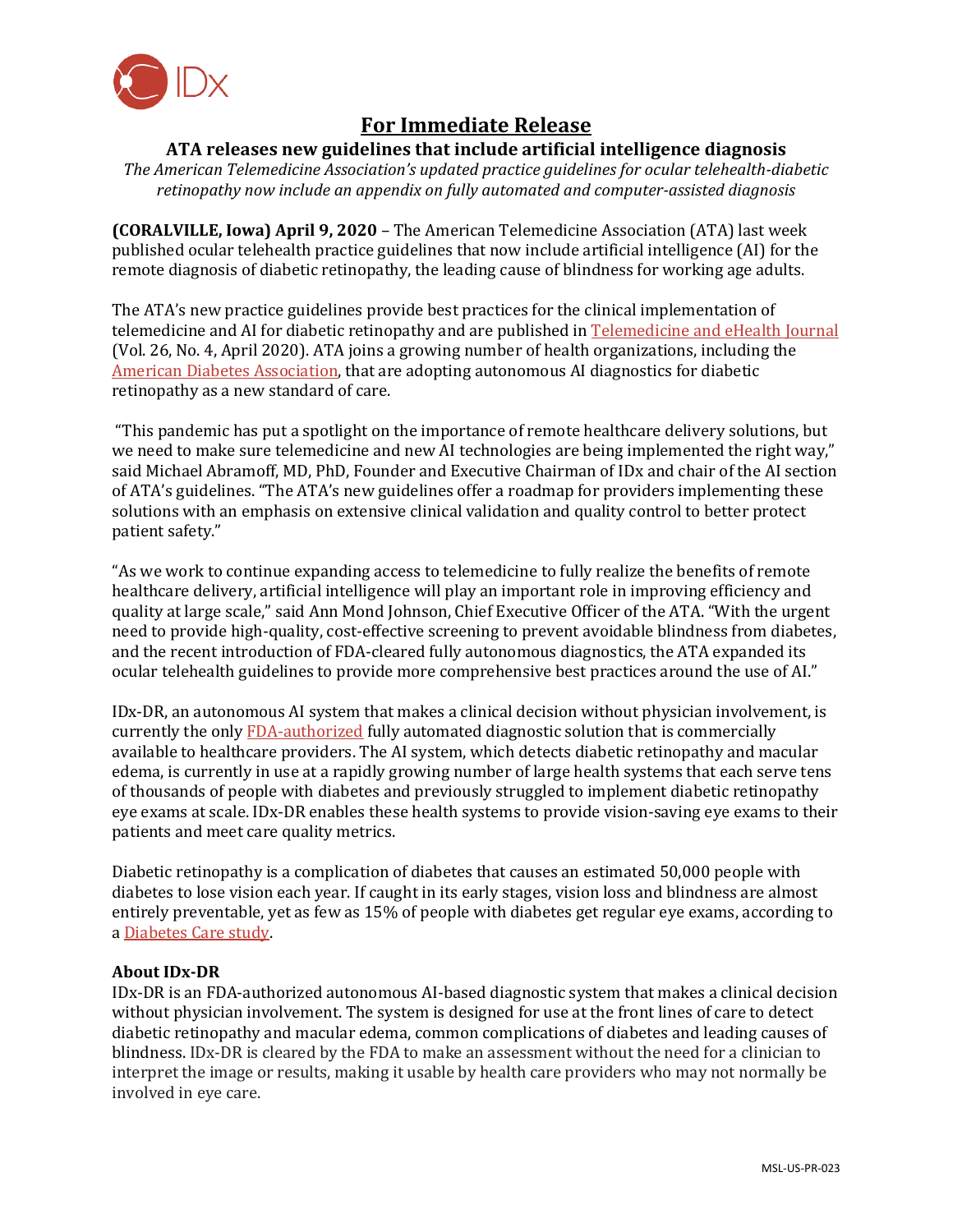

# **For Immediate Release**

## **ATA releases new guidelines that include artificial intelligence diagnosis**

*The American Telemedicine Association's updated practice guidelines for ocular telehealth-diabetic retinopathy now include an appendix on fully automated and computer-assisted diagnosis*

**(CORALVILLE, Iowa) April 9, 2020** – The American Telemedicine Association (ATA) last week published ocular telehealth practice guidelines that now include artificial intelligence (AI) for the remote diagnosis of diabetic retinopathy, the leading cause of blindness for working age adults.

The ATA's new practice guidelines provide best practices for the clinical implementation of telemedicine and AI for diabetic retinopathy and are published in [Telemedicine and eHealth Journal](https://www.liebertpub.com/doi/10.1089/tmj.2020.0006) (Vol. 26, No. 4, April 2020). ATA joins a growing number of health organizations, including the [American Diabetes Association,](https://www.prnewswire.com/news-releases/2020-ada-standards-of-care-just-arrived-and-now-includes-ai-to-prevent-blindness-300978985.html) that are adopting autonomous AI diagnostics for diabetic retinopathy as a new standard of care.

"This pandemic has put a spotlight on the importance of remote healthcare delivery solutions, but we need to make sure telemedicine and new AI technologies are being implemented the right way," said Michael Abramoff, MD, PhD, Founder and Executive Chairman of IDx and chair of the AI section of ATA's guidelines. "The ATA's new guidelines offer a roadmap for providers implementing these solutions with an emphasis on extensive clinical validation and quality control to better protect patient safety."

"As we work to continue expanding access to telemedicine to fully realize the benefits of remote healthcare delivery, artificial intelligence will play an important role in improving efficiency and quality at large scale," said Ann Mond Johnson, Chief Executive Officer of the ATA. "With the urgent need to provide high-quality, cost-effective screening to prevent avoidable blindness from diabetes, and the recent introduction of FDA-cleared fully autonomous diagnostics, the ATA expanded its ocular telehealth guidelines to provide more comprehensive best practices around the use of AI."

IDx-DR, an autonomous AI system that makes a clinical decision without physician involvement, is currently the onl[y FDA-authorized](https://www.fda.gov/news-events/press-announcements/fda-permits-marketing-artificial-intelligence-based-device-detect-certain-diabetes-related-eye) fully automated diagnostic solution that is commercially available to healthcare providers. The AI system, which detects diabetic retinopathy and macular edema, is currently in use at a rapidly growing number of large health systems that each serve tens of thousands of people with diabetes and previously struggled to implement diabetic retinopathy eye exams at scale. IDx-DR enables these health systems to provide vision-saving eye exams to their patients and meet care quality metrics.

Diabetic retinopathy is a complication of diabetes that causes an estimated 50,000 people with diabetes to lose vision each year. If caught in its early stages, vision loss and blindness are almost entirely preventable, yet as few as 15% of people with diabetes get regular eye exams, according to a [Diabetes Care study.](https://www.ncbi.nlm.nih.gov/pubmed/30679304)

### **About IDx-DR**

IDx-DR is an FDA-authorized autonomous AI-based diagnostic system that makes a clinical decision without physician involvement. The system is designed for use at the front lines of care to detect diabetic retinopathy and macular edema, common complications of diabetes and leading causes of blindness. IDx-DR is cleared by the FDA to make an assessment without the need for a clinician to interpret the image or results, making it usable by health care providers who may not normally be involved in eye care.